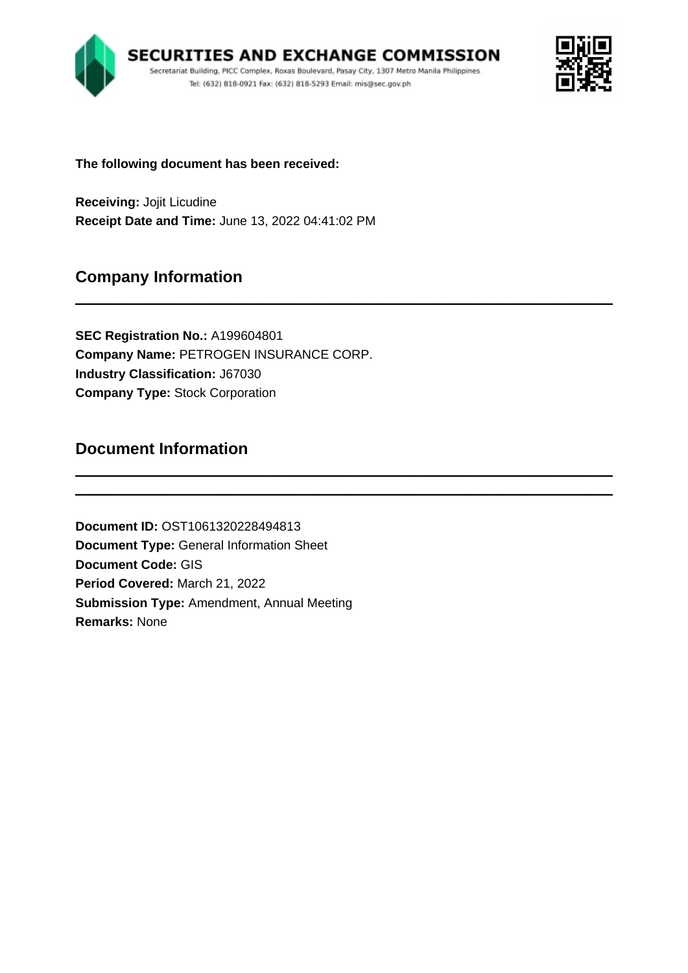

\_\_\_\_\_\_\_\_\_\_\_\_\_\_\_\_\_\_\_\_\_\_\_\_\_\_\_\_\_\_\_\_\_\_\_\_\_\_\_\_\_\_\_\_\_\_\_\_\_\_\_\_\_\_\_\_\_\_\_\_\_\_\_\_\_\_\_\_\_\_\_\_\_\_\_\_

\_\_\_\_\_\_\_\_\_\_\_\_\_\_\_\_\_\_\_\_\_\_\_\_\_\_\_\_\_\_\_\_\_\_\_\_\_\_\_\_\_\_\_\_\_\_\_\_\_\_\_\_\_\_\_\_\_\_\_\_\_\_\_\_\_\_\_\_\_\_\_\_\_\_\_\_ \_\_\_\_\_\_\_\_\_\_\_\_\_\_\_\_\_\_\_\_\_\_\_\_\_\_\_\_\_\_\_\_\_\_\_\_\_\_\_\_\_\_\_\_\_\_\_\_\_\_\_\_\_\_\_\_\_\_\_\_\_\_\_\_\_\_\_\_\_\_\_\_\_\_\_\_



**The following document has been received:**

**Receiving:** Jojit Licudine **Receipt Date and Time:** June 13, 2022 04:41:02 PM

# **Company Information**

**SEC Registration No.:** A199604801 **Company Name:** PETROGEN INSURANCE CORP. **Industry Classification:** J67030 **Company Type:** Stock Corporation

# **Document Information**

**Document ID:** OST1061320228494813 **Document Type:** General Information Sheet **Document Code:** GIS **Period Covered:** March 21, 2022 **Submission Type:** Amendment, Annual Meeting **Remarks:** None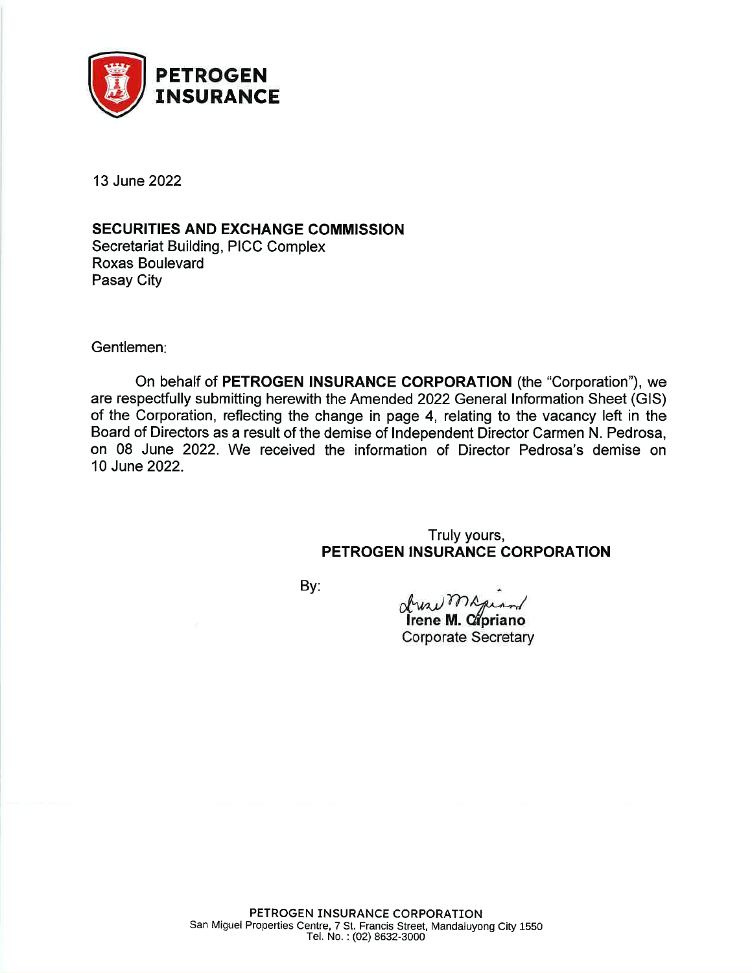

13 June 2022

# **SECURITIES AND EXCHANGE COMMISSION**

**Secretariat Building, PICC Complex** Roxas Boulevard Pasay City

Gentlemen:

On behalf of PETROGEN INSURANCE CORPORATION (the "Corporation"), we are respectfully submitting herewith the Amended 2022 General Information Sheet (GIS) of the Corporation, reflecting the change in page 4, relating to the vacancy left in the Board of Directors as a result of the demise of Independent Director Carmen N. Pedrosa, on 08 June 2022. We received the information of Director Pedrosa's demise on 10 June 2022.

# Truly yours, PETROGEN INSURANCE CORPORATION

By:

dressme

Trene M. Cipriano **Corporate Secretary**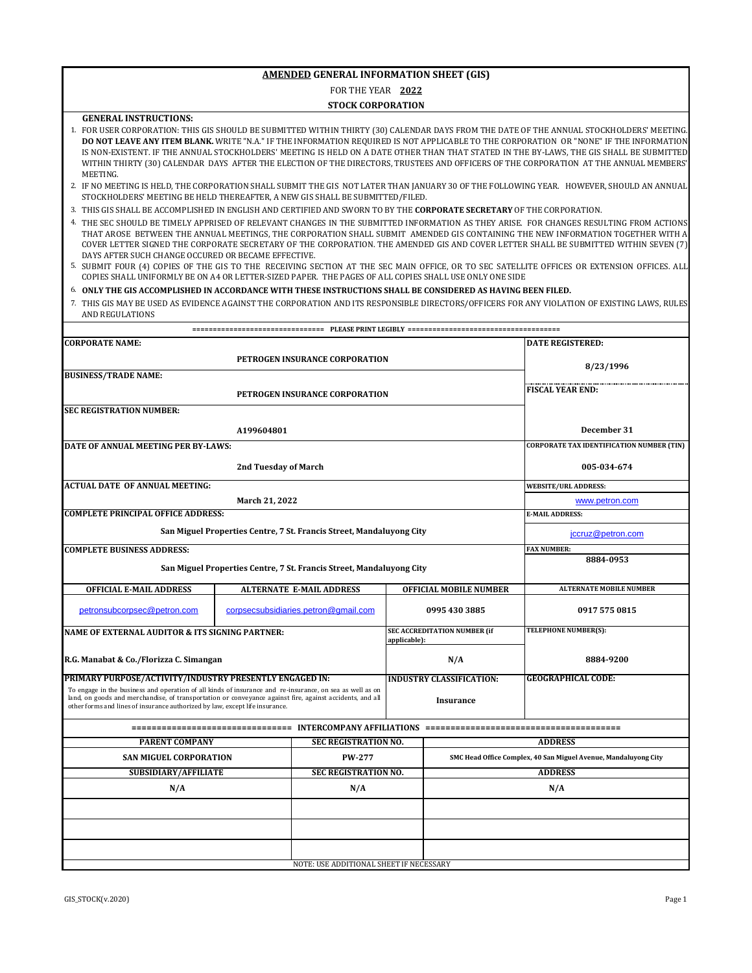FOR THE YEAR **2022**

#### **STOCK CORPORATION**

**GENERAL INSTRUCTIONS:**

1. FOR USER CORPORATION: THIS GIS SHOULD BE SUBMITTED WITHIN THIRTY (30) CALENDAR DAYS FROM THE DATE OF THE ANNUAL STOCKHOLDERS' MEETING. **DO NOT LEAVE ANY ITEM BLANK.** WRITE "N.A." IF THE INFORMATION REQUIRED IS NOT APPLICABLE TO THE CORPORATION OR "NONE" IF THE INFORMATION IS NON-EXISTENT. IF THE ANNUAL STOCKHOLDERS' MEETING IS HELD ON A DATE OTHER THAN THAT STATED IN THE BY-LAWS, THE GIS SHALL BE SUBMITTED WITHIN THIRTY (30) CALENDAR DAYS AFTER THE ELECTION OF THE DIRECTORS, TRUSTEES AND OFFICERS OF THE CORPORATION AT THE ANNUAL MEMBERS' **MEETING** 

- 3. THIS GIS SHALL BE ACCOMPLISHED IN ENGLISH AND CERTIFIED AND SWORN TO BY THE **CORPORATE SECRETARY** OF THE CORPORATION.
- 4. THE SEC SHOULD BE TIMELY APPRISED OF RELEVANT CHANGES IN THE SUBMITTED INFORMATION AS THEY ARISE. FOR CHANGES RESULTING FROM ACTIONS THAT AROSE BETWEEN THE ANNUAL MEETINGS, THE CORPORATION SHALL SUBMIT AMENDED GIS CONTAINING THE NEW INFORMATION TOGETHER WITH A COVER LETTER SIGNED THE CORPORATE SECRETARY OF THE CORPORATION. THE AMENDED GIS AND COVER LETTER SHALL BE SUBMITTED WITHIN SEVEN (7) DAYS AFTER SUCH CHANGE OCCURED OR BECAME EFFECTIVE.
- 5. SUBMIT FOUR (4) COPIES OF THE GIS TO THE RECEIVING SECTION AT THE SEC MAIN OFFICE, OR TO SEC SATELLITE OFFICES OR EXTENSION OFFICES. ALL COPIES SHALL UNIFORMLY BE ON A4 OR LETTER-SIZED PAPER. THE PAGES OF ALL COPIES SHALL USE ONLY ONE SIDE

#### 6. **ONLY THE GIS ACCOMPLISHED IN ACCORDANCE WITH THESE INSTRUCTIONS SHALL BE CONSIDERED AS HAVING BEEN FILED.**

7. THIS GIS MAY BE USED AS EVIDENCE AGAINST THE CORPORATION AND ITS RESPONSIBLE DIRECTORS/OFFICERS FOR ANY VIOLATION OF EXISTING LAWS, RULES AND REGULATIONS

| <b>CORPORATE NAME:</b>                                                                                                                                                                                                                                                                               | <b>DATE REGISTERED:</b> |                                                                      |                                                     |                                 |                                                                 |  |
|------------------------------------------------------------------------------------------------------------------------------------------------------------------------------------------------------------------------------------------------------------------------------------------------------|-------------------------|----------------------------------------------------------------------|-----------------------------------------------------|---------------------------------|-----------------------------------------------------------------|--|
|                                                                                                                                                                                                                                                                                                      | 8/23/1996               |                                                                      |                                                     |                                 |                                                                 |  |
| <b>BUSINESS/TRADE NAME:</b>                                                                                                                                                                                                                                                                          |                         |                                                                      |                                                     |                                 |                                                                 |  |
|                                                                                                                                                                                                                                                                                                      | <b>FISCAL YEAR END:</b> |                                                                      |                                                     |                                 |                                                                 |  |
| <b>SEC REGISTRATION NUMBER:</b>                                                                                                                                                                                                                                                                      |                         |                                                                      |                                                     |                                 |                                                                 |  |
|                                                                                                                                                                                                                                                                                                      |                         |                                                                      |                                                     |                                 | December 31                                                     |  |
|                                                                                                                                                                                                                                                                                                      | A199604801              |                                                                      |                                                     |                                 | <b>CORPORATE TAX IDENTIFICATION NUMBER (TIN)</b>                |  |
| DATE OF ANNUAL MEETING PER BY-LAWS:                                                                                                                                                                                                                                                                  |                         |                                                                      |                                                     |                                 |                                                                 |  |
|                                                                                                                                                                                                                                                                                                      | 005-034-674             |                                                                      |                                                     |                                 |                                                                 |  |
| <b>ACTUAL DATE OF ANNUAL MEETING:</b>                                                                                                                                                                                                                                                                |                         |                                                                      |                                                     |                                 | <b>WEBSITE/URL ADDRESS:</b>                                     |  |
|                                                                                                                                                                                                                                                                                                      | March 21, 2022          |                                                                      |                                                     |                                 | www.petron.com                                                  |  |
| <b>COMPLETE PRINCIPAL OFFICE ADDRESS:</b>                                                                                                                                                                                                                                                            |                         |                                                                      |                                                     |                                 | <b>E-MAIL ADDRESS:</b>                                          |  |
|                                                                                                                                                                                                                                                                                                      |                         | San Miguel Properties Centre, 7 St. Francis Street, Mandaluyong City |                                                     |                                 | jccruz@petron.com                                               |  |
| <b>COMPLETE BUSINESS ADDRESS:</b>                                                                                                                                                                                                                                                                    |                         |                                                                      |                                                     |                                 | <b>FAX NUMBER:</b>                                              |  |
|                                                                                                                                                                                                                                                                                                      |                         | San Miguel Properties Centre, 7 St. Francis Street, Mandaluyong City |                                                     |                                 | 8884-0953                                                       |  |
| <b>OFFICIAL E-MAIL ADDRESS</b>                                                                                                                                                                                                                                                                       |                         | <b>ALTERNATE E-MAIL ADDRESS</b>                                      |                                                     | <b>OFFICIAL MOBILE NUMBER</b>   | <b>ALTERNATE MOBILE NUMBER</b>                                  |  |
| petronsubcorpsec@petron.com                                                                                                                                                                                                                                                                          |                         | corpsecsubsidiaries.petron@gmail.com                                 |                                                     | 0995 430 3885                   | 0917 575 0815                                                   |  |
| <b>NAME OF EXTERNAL AUDITOR &amp; ITS SIGNING PARTNER:</b>                                                                                                                                                                                                                                           |                         |                                                                      | <b>SEC ACCREDITATION NUMBER (if</b><br>applicable): |                                 | TELEPHONE NUMBER(S):                                            |  |
| R.G. Manabat & Co./Florizza C. Simangan                                                                                                                                                                                                                                                              |                         |                                                                      | N/A                                                 |                                 | 8884-9200                                                       |  |
| PRIMARY PURPOSE/ACTIVITY/INDUSTRY PRESENTLY ENGAGED IN:                                                                                                                                                                                                                                              |                         |                                                                      |                                                     | <b>INDUSTRY CLASSIFICATION:</b> | <b>GEOGRAPHICAL CODE:</b>                                       |  |
| To engage in the business and operation of all kinds of insurance and re-insurance, on sea as well as on<br>land, on goods and merchandise, of transportation or conveyance against fire, against accidents, and all<br>other forms and lines of insurance authorized by law, except life insurance. |                         |                                                                      | <b>Insurance</b>                                    |                                 |                                                                 |  |
|                                                                                                                                                                                                                                                                                                      |                         |                                                                      |                                                     |                                 |                                                                 |  |
| <b>PARENT COMPANY</b>                                                                                                                                                                                                                                                                                |                         | <b>SEC REGISTRATION NO.</b>                                          |                                                     |                                 | <b>ADDRESS</b>                                                  |  |
| <b>SAN MIGUEL CORPORATION</b>                                                                                                                                                                                                                                                                        |                         | <b>PW-277</b>                                                        |                                                     |                                 | SMC Head Office Complex, 40 San Miguel Avenue, Mandaluyong City |  |
| <b>SUBSIDIARY/AFFILIATE</b>                                                                                                                                                                                                                                                                          |                         | <b>SEC REGISTRATION NO.</b>                                          |                                                     |                                 | <b>ADDRESS</b>                                                  |  |
| N/A                                                                                                                                                                                                                                                                                                  | N/A                     |                                                                      |                                                     | N/A                             |                                                                 |  |
|                                                                                                                                                                                                                                                                                                      |                         |                                                                      |                                                     |                                 |                                                                 |  |
|                                                                                                                                                                                                                                                                                                      |                         |                                                                      |                                                     |                                 |                                                                 |  |
|                                                                                                                                                                                                                                                                                                      |                         |                                                                      |                                                     |                                 |                                                                 |  |
|                                                                                                                                                                                                                                                                                                      |                         | NOTE: USE ADDITIONAL SHEET IF NECESSARY                              |                                                     |                                 |                                                                 |  |

<sup>2.</sup>  IF NO MEETING IS HELD, THE CORPORATION SHALL SUBMIT THE GIS NOT LATER THAN JANUARY 30 OF THE FOLLOWING YEAR. HOWEVER, SHOULD AN ANNUAL STOCKHOLDERS' MEETING BE HELD THEREAFTER, A NEW GIS SHALL BE SUBMITTED/FILED.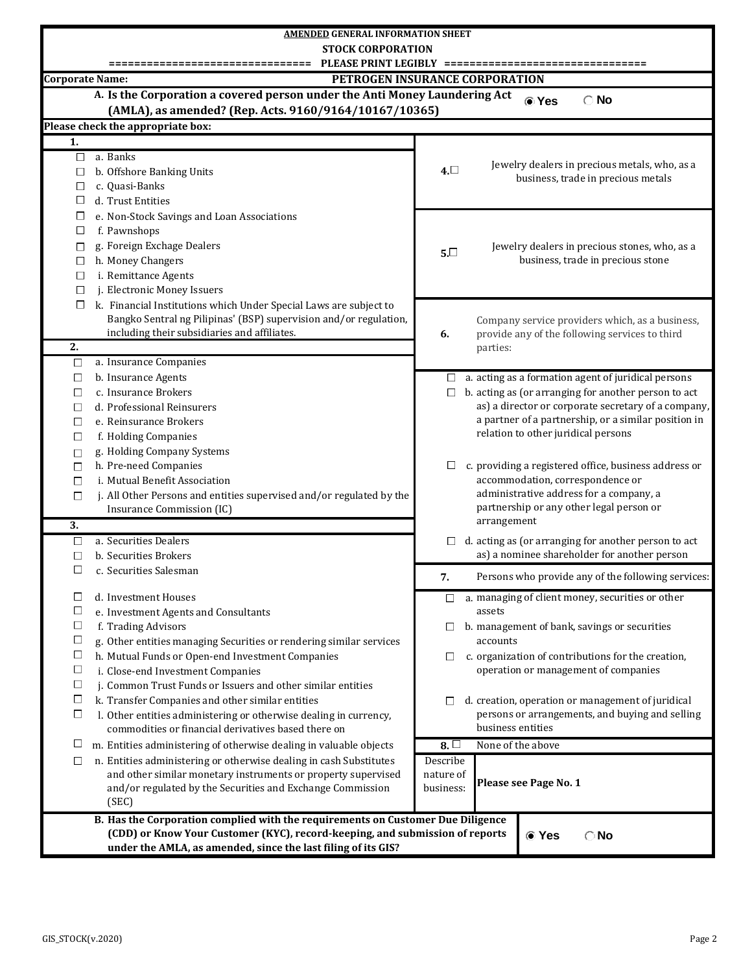| <b>AMENDED GENERAL INFORMATION SHEET</b>                  |                                                                                                                                     |                                                                                                                                                                                |                                                                                    |  |  |  |  |  |  |  |  |
|-----------------------------------------------------------|-------------------------------------------------------------------------------------------------------------------------------------|--------------------------------------------------------------------------------------------------------------------------------------------------------------------------------|------------------------------------------------------------------------------------|--|--|--|--|--|--|--|--|
|                                                           | <b>STOCK CORPORATION</b>                                                                                                            |                                                                                                                                                                                |                                                                                    |  |  |  |  |  |  |  |  |
|                                                           | PLEASE PRINT LEGIBLY ====<br>=====                                                                                                  |                                                                                                                                                                                |                                                                                    |  |  |  |  |  |  |  |  |
| <b>Corporate Name:</b>                                    |                                                                                                                                     |                                                                                                                                                                                | PETROGEN INSURANCE CORPORATION                                                     |  |  |  |  |  |  |  |  |
|                                                           | A. Is the Corporation a covered person under the Anti Money Laundering Act                                                          |                                                                                                                                                                                | <b>®</b> Yes<br>$\bigcirc$ No                                                      |  |  |  |  |  |  |  |  |
|                                                           | (AMLA), as amended? (Rep. Acts. 9160/9164/10167/10365)                                                                              |                                                                                                                                                                                |                                                                                    |  |  |  |  |  |  |  |  |
| Please check the appropriate box:                         |                                                                                                                                     |                                                                                                                                                                                |                                                                                    |  |  |  |  |  |  |  |  |
| 1.                                                        |                                                                                                                                     |                                                                                                                                                                                |                                                                                    |  |  |  |  |  |  |  |  |
| $\Box$<br>a. Banks                                        |                                                                                                                                     |                                                                                                                                                                                | Jewelry dealers in precious metals, who, as a                                      |  |  |  |  |  |  |  |  |
| b. Offshore Banking Units<br>□                            |                                                                                                                                     | $4. \Box$                                                                                                                                                                      | business, trade in precious metals                                                 |  |  |  |  |  |  |  |  |
| c. Quasi-Banks<br>$\Box$                                  |                                                                                                                                     |                                                                                                                                                                                |                                                                                    |  |  |  |  |  |  |  |  |
| $\Box$<br>d. Trust Entities                               |                                                                                                                                     |                                                                                                                                                                                |                                                                                    |  |  |  |  |  |  |  |  |
| □                                                         | e. Non-Stock Savings and Loan Associations                                                                                          |                                                                                                                                                                                |                                                                                    |  |  |  |  |  |  |  |  |
| f. Pawnshops<br>□                                         |                                                                                                                                     |                                                                                                                                                                                |                                                                                    |  |  |  |  |  |  |  |  |
| g. Foreign Exchage Dealers<br>$\Box$<br>h. Money Changers |                                                                                                                                     | $5\square$                                                                                                                                                                     | Jewelry dealers in precious stones, who, as a<br>business, trade in precious stone |  |  |  |  |  |  |  |  |
| $\Box$<br>i. Remittance Agents<br>$\Box$                  |                                                                                                                                     |                                                                                                                                                                                |                                                                                    |  |  |  |  |  |  |  |  |
| j. Electronic Money Issuers<br>$\Box$                     |                                                                                                                                     |                                                                                                                                                                                |                                                                                    |  |  |  |  |  |  |  |  |
| $\Box$                                                    | k. Financial Institutions which Under Special Laws are subject to                                                                   |                                                                                                                                                                                |                                                                                    |  |  |  |  |  |  |  |  |
|                                                           | Bangko Sentral ng Pilipinas' (BSP) supervision and/or regulation,                                                                   |                                                                                                                                                                                | Company service providers which, as a business,                                    |  |  |  |  |  |  |  |  |
|                                                           | including their subsidiaries and affiliates.                                                                                        | 6.                                                                                                                                                                             | provide any of the following services to third                                     |  |  |  |  |  |  |  |  |
| 2.                                                        |                                                                                                                                     |                                                                                                                                                                                | parties:                                                                           |  |  |  |  |  |  |  |  |
| a. Insurance Companies<br>$\Box$                          |                                                                                                                                     |                                                                                                                                                                                |                                                                                    |  |  |  |  |  |  |  |  |
| b. Insurance Agents<br>□                                  |                                                                                                                                     | $\Box$                                                                                                                                                                         | a. acting as a formation agent of juridical persons                                |  |  |  |  |  |  |  |  |
| c. Insurance Brokers<br>$\Box$                            |                                                                                                                                     | □                                                                                                                                                                              | b. acting as (or arranging for another person to act                               |  |  |  |  |  |  |  |  |
| d. Professional Reinsurers<br>$\Box$                      |                                                                                                                                     |                                                                                                                                                                                | as) a director or corporate secretary of a company,                                |  |  |  |  |  |  |  |  |
| e. Reinsurance Brokers<br>$\Box$                          |                                                                                                                                     |                                                                                                                                                                                | a partner of a partnership, or a similar position in                               |  |  |  |  |  |  |  |  |
| f. Holding Companies<br>$\Box$                            |                                                                                                                                     |                                                                                                                                                                                | relation to other juridical persons                                                |  |  |  |  |  |  |  |  |
| g. Holding Company Systems<br>$\Box$                      |                                                                                                                                     |                                                                                                                                                                                |                                                                                    |  |  |  |  |  |  |  |  |
| h. Pre-need Companies<br>$\Box$                           |                                                                                                                                     | □                                                                                                                                                                              | c. providing a registered office, business address or                              |  |  |  |  |  |  |  |  |
| i. Mutual Benefit Association<br>$\Box$                   |                                                                                                                                     |                                                                                                                                                                                | accommodation, correspondence or<br>administrative address for a company, a        |  |  |  |  |  |  |  |  |
| $\Box$                                                    | j. All Other Persons and entities supervised and/or regulated by the<br>Insurance Commission (IC)                                   |                                                                                                                                                                                | partnership or any other legal person or                                           |  |  |  |  |  |  |  |  |
|                                                           |                                                                                                                                     |                                                                                                                                                                                | arrangement                                                                        |  |  |  |  |  |  |  |  |
| 3.<br>a. Securities Dealers<br>$\Box$                     |                                                                                                                                     | □                                                                                                                                                                              | d. acting as (or arranging for another person to act                               |  |  |  |  |  |  |  |  |
| b. Securities Brokers<br>□                                |                                                                                                                                     |                                                                                                                                                                                | as) a nominee shareholder for another person                                       |  |  |  |  |  |  |  |  |
| $\Box$<br>c. Securities Salesman                          |                                                                                                                                     |                                                                                                                                                                                |                                                                                    |  |  |  |  |  |  |  |  |
|                                                           |                                                                                                                                     | 7.                                                                                                                                                                             | Persons who provide any of the following services:                                 |  |  |  |  |  |  |  |  |
| $\Box$<br>d. Investment Houses                            |                                                                                                                                     | ⊔                                                                                                                                                                              | a. managing of client money, securities or other                                   |  |  |  |  |  |  |  |  |
| $\Box$                                                    | e. Investment Agents and Consultants                                                                                                |                                                                                                                                                                                | assets                                                                             |  |  |  |  |  |  |  |  |
| $\Box$<br>f. Trading Advisors                             |                                                                                                                                     | ப                                                                                                                                                                              | b. management of bank, savings or securities                                       |  |  |  |  |  |  |  |  |
| $\Box$                                                    | g. Other entities managing Securities or rendering similar services                                                                 |                                                                                                                                                                                | accounts                                                                           |  |  |  |  |  |  |  |  |
| $\Box$                                                    | h. Mutual Funds or Open-end Investment Companies                                                                                    | $\Box$                                                                                                                                                                         | c. organization of contributions for the creation,                                 |  |  |  |  |  |  |  |  |
| $\Box$                                                    | i. Close-end Investment Companies                                                                                                   |                                                                                                                                                                                | operation or management of companies                                               |  |  |  |  |  |  |  |  |
| $\Box$                                                    | j. Common Trust Funds or Issuers and other similar entities                                                                         |                                                                                                                                                                                |                                                                                    |  |  |  |  |  |  |  |  |
| $\Box$                                                    | k. Transfer Companies and other similar entities                                                                                    | □                                                                                                                                                                              | d. creation, operation or management of juridical                                  |  |  |  |  |  |  |  |  |
| $\Box$                                                    | l. Other entities administering or otherwise dealing in currency,<br>commodities or financial derivatives based there on            |                                                                                                                                                                                | persons or arrangements, and buying and selling<br>business entities               |  |  |  |  |  |  |  |  |
|                                                           |                                                                                                                                     |                                                                                                                                                                                |                                                                                    |  |  |  |  |  |  |  |  |
| $\Box$                                                    | m. Entities administering of otherwise dealing in valuable objects                                                                  | $\overline{8}$ .                                                                                                                                                               | None of the above                                                                  |  |  |  |  |  |  |  |  |
| $\Box$                                                    | n. Entities administering or otherwise dealing in cash Substitutes<br>and other similar monetary instruments or property supervised | Describe<br>nature of                                                                                                                                                          |                                                                                    |  |  |  |  |  |  |  |  |
|                                                           | and/or regulated by the Securities and Exchange Commission                                                                          | business:                                                                                                                                                                      | Please see Page No. 1                                                              |  |  |  |  |  |  |  |  |
| (SEC)                                                     |                                                                                                                                     |                                                                                                                                                                                |                                                                                    |  |  |  |  |  |  |  |  |
|                                                           | B. Has the Corporation complied with the requirements on Customer Due Diligence                                                     |                                                                                                                                                                                |                                                                                    |  |  |  |  |  |  |  |  |
|                                                           |                                                                                                                                     |                                                                                                                                                                                |                                                                                    |  |  |  |  |  |  |  |  |
|                                                           |                                                                                                                                     | (CDD) or Know Your Customer (KYC), record-keeping, and submission of reports<br><b>⊙</b> Yes<br>$\bigcirc$ No<br>under the AMLA, as amended, since the last filing of its GIS? |                                                                                    |  |  |  |  |  |  |  |  |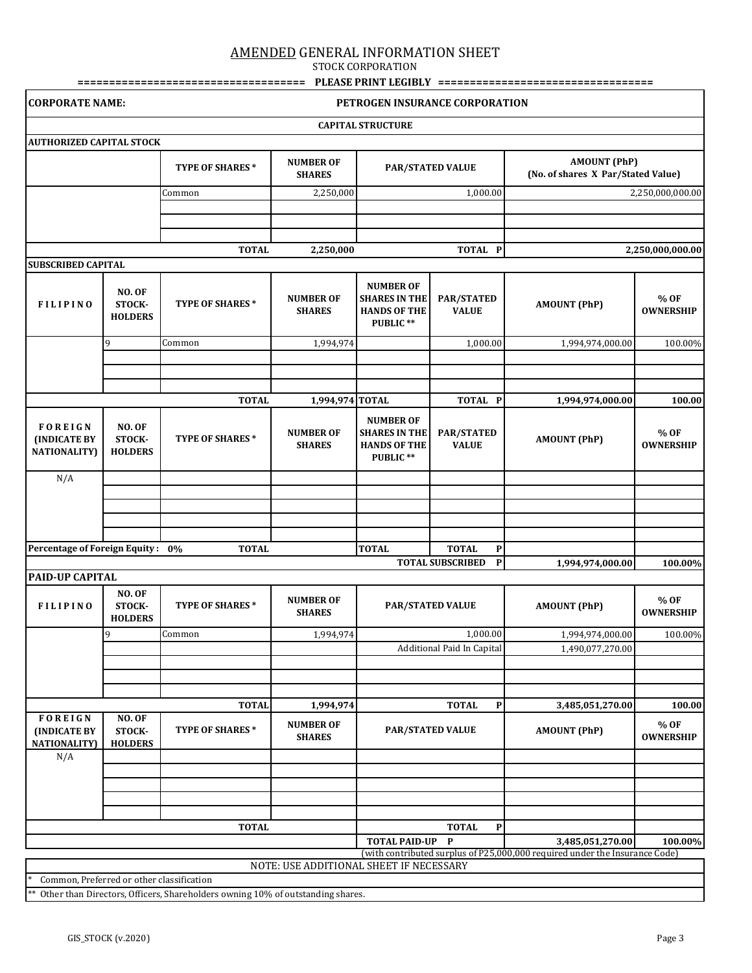STOCK CORPORATION

| <b>CORPORATE NAME:</b>                                |                                           |                                                                                |                                         |                                                                             | PETROGEN INSURANCE CORPORATION          |                                                                                                 |                          |
|-------------------------------------------------------|-------------------------------------------|--------------------------------------------------------------------------------|-----------------------------------------|-----------------------------------------------------------------------------|-----------------------------------------|-------------------------------------------------------------------------------------------------|--------------------------|
|                                                       |                                           |                                                                                |                                         | <b>CAPITAL STRUCTURE</b>                                                    |                                         |                                                                                                 |                          |
| <b>AUTHORIZED CAPITAL STOCK</b>                       |                                           |                                                                                |                                         |                                                                             |                                         |                                                                                                 |                          |
|                                                       |                                           | <b>TYPE OF SHARES*</b>                                                         | <b>NUMBER OF</b><br><b>SHARES</b>       | <b>PAR/STATED VALUE</b>                                                     |                                         | <b>AMOUNT (PhP)</b><br>(No. of shares X Par/Stated Value)                                       |                          |
|                                                       |                                           | Common                                                                         | 2,250,000                               |                                                                             | 1,000.00                                |                                                                                                 | 2,250,000,000.00         |
|                                                       |                                           |                                                                                |                                         |                                                                             |                                         |                                                                                                 |                          |
|                                                       |                                           |                                                                                |                                         |                                                                             |                                         |                                                                                                 |                          |
|                                                       |                                           | <b>TOTAL</b>                                                                   | 2,250,000                               |                                                                             | TOTAL P                                 |                                                                                                 | 2,250,000,000.00         |
| <b>SUBSCRIBED CAPITAL</b>                             |                                           |                                                                                |                                         |                                                                             |                                         |                                                                                                 |                          |
| <b>FILIPINO</b>                                       | <b>NO. OF</b><br>STOCK-<br><b>HOLDERS</b> | TYPE OF SHARES*                                                                | <b>NUMBER OF</b><br><b>SHARES</b>       | <b>NUMBER OF</b><br><b>SHARES IN THE</b><br><b>HANDS OF THE</b><br>PUBLIC** | PAR/STATED<br><b>VALUE</b>              | <b>AMOUNT (PhP)</b>                                                                             | % OF<br><b>OWNERSHIP</b> |
|                                                       | 9                                         | Common                                                                         | 1,994,974                               |                                                                             | 1,000.00                                | 1,994,974,000.00                                                                                | 100.00%                  |
|                                                       |                                           |                                                                                |                                         |                                                                             |                                         |                                                                                                 |                          |
|                                                       |                                           |                                                                                |                                         |                                                                             |                                         |                                                                                                 |                          |
|                                                       |                                           | <b>TOTAL</b>                                                                   | 1,994,974 TOTAL                         |                                                                             | TOTAL P                                 | 1,994,974,000.00                                                                                | 100.00                   |
| FOREIGN<br><b>(INDICATE BY</b><br><b>NATIONALITY)</b> | <b>NO. OF</b><br>STOCK-<br><b>HOLDERS</b> | TYPE OF SHARES*                                                                | <b>NUMBER OF</b><br><b>SHARES</b>       | <b>NUMBER OF</b><br><b>SHARES IN THE</b><br><b>HANDS OF THE</b><br>PUBLIC** | <b>PAR/STATED</b><br><b>VALUE</b>       | <b>AMOUNT (PhP)</b>                                                                             | % OF<br><b>OWNERSHIP</b> |
| N/A                                                   |                                           |                                                                                |                                         |                                                                             |                                         |                                                                                                 |                          |
|                                                       |                                           |                                                                                |                                         |                                                                             |                                         |                                                                                                 |                          |
|                                                       |                                           |                                                                                |                                         |                                                                             |                                         |                                                                                                 |                          |
|                                                       |                                           |                                                                                |                                         |                                                                             |                                         |                                                                                                 |                          |
| Percentage of Foreign Equity: 0%                      |                                           | <b>TOTAL</b>                                                                   |                                         | <b>TOTAL</b>                                                                | <b>TOTAL</b><br>$\mathbf{P}$            |                                                                                                 |                          |
|                                                       |                                           |                                                                                |                                         |                                                                             | $\mathbf{P}$<br><b>TOTAL SUBSCRIBED</b> | 1,994,974,000.00                                                                                | 100.00%                  |
| <b>PAID-UP CAPITAL</b>                                |                                           |                                                                                |                                         |                                                                             |                                         |                                                                                                 |                          |
| <b>FILIPINO</b>                                       | <b>NO. OF</b><br>STOCK-<br><b>HOLDERS</b> | <b>TYPE OF SHARES*</b>                                                         | <b>NUMBER OF</b><br><b>SHARES</b>       |                                                                             | <b>PAR/STATED VALUE</b>                 | <b>AMOUNT (PhP)</b>                                                                             | % OF<br><b>OWNERSHIP</b> |
|                                                       | 9                                         | Common                                                                         | 1,994,974                               |                                                                             | 1,000.00                                | 1,994,974,000.00                                                                                | 100.00%                  |
|                                                       |                                           |                                                                                |                                         |                                                                             | Additional Paid In Capital              | 1,490,077,270.00                                                                                |                          |
|                                                       |                                           |                                                                                |                                         |                                                                             |                                         |                                                                                                 |                          |
|                                                       |                                           |                                                                                |                                         |                                                                             |                                         |                                                                                                 |                          |
|                                                       |                                           | <b>TOTAL</b>                                                                   | 1,994,974                               |                                                                             | <b>TOTAL</b><br>$\mathbf{P}$            | 3,485,051,270.00                                                                                | 100.00                   |
| FOREIGN<br><b>(INDICATE BY</b><br><b>NATIONALITY)</b> | <b>NO. OF</b><br>STOCK-<br><b>HOLDERS</b> | TYPE OF SHARES*                                                                | <b>NUMBER OF</b><br><b>SHARES</b>       |                                                                             | <b>PAR/STATED VALUE</b>                 | <b>AMOUNT (PhP)</b>                                                                             | % OF<br><b>OWNERSHIP</b> |
| N/A                                                   |                                           |                                                                                |                                         |                                                                             |                                         |                                                                                                 |                          |
|                                                       |                                           |                                                                                |                                         |                                                                             |                                         |                                                                                                 |                          |
|                                                       |                                           |                                                                                |                                         |                                                                             |                                         |                                                                                                 |                          |
|                                                       |                                           |                                                                                |                                         |                                                                             |                                         |                                                                                                 |                          |
|                                                       |                                           | <b>TOTAL</b>                                                                   |                                         |                                                                             | <b>TOTAL</b><br>P                       |                                                                                                 |                          |
|                                                       |                                           |                                                                                |                                         | <b>TOTAL PAID-UP</b>                                                        | $\mathbf{P}$                            | 3,485,051,270.00<br>(with contributed surplus of P25,000,000 required under the Insurance Code) | 100.00%                  |
|                                                       |                                           |                                                                                | NOTE: USE ADDITIONAL SHEET IF NECESSARY |                                                                             |                                         |                                                                                                 |                          |
| Common, Preferred or other classification             |                                           | Other than Directors, Officers, Shareholders owning 10% of outstanding shares. |                                         |                                                                             |                                         |                                                                                                 |                          |
|                                                       |                                           |                                                                                |                                         |                                                                             |                                         |                                                                                                 |                          |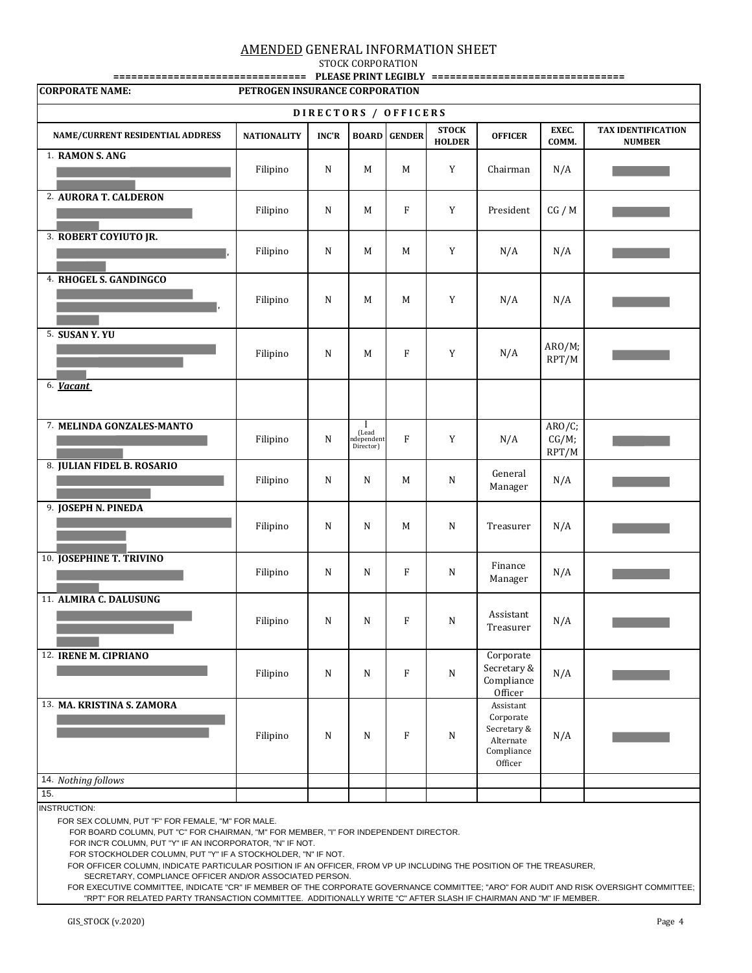STOCK CORPORATION

| <b>CORPORATE NAME:</b>           | PETROGEN INSURANCE CORPORATION |              |                                                 |                     |                               |                                                                             |                          |                                            |  |
|----------------------------------|--------------------------------|--------------|-------------------------------------------------|---------------------|-------------------------------|-----------------------------------------------------------------------------|--------------------------|--------------------------------------------|--|
|                                  |                                |              |                                                 |                     |                               |                                                                             |                          |                                            |  |
| DIRECTORS / OFFICERS             |                                |              |                                                 |                     |                               |                                                                             |                          |                                            |  |
| NAME/CURRENT RESIDENTIAL ADDRESS | <b>NATIONALITY</b>             | <b>INC'R</b> |                                                 | <b>BOARD GENDER</b> | <b>STOCK</b><br><b>HOLDER</b> | <b>OFFICER</b>                                                              | EXEC.<br>COMM.           | <b>TAX IDENTIFICATION</b><br><b>NUMBER</b> |  |
| 1. RAMON S. ANG                  | Filipino                       | $\mathbf N$  | M                                               | M                   | Y                             | Chairman                                                                    | N/A                      |                                            |  |
| 2. AURORA T. CALDERON            | Filipino                       | $\mathbf N$  | M                                               | F                   | Y                             | President                                                                   | CG / M                   |                                            |  |
| 3. ROBERT COYIUTO JR.            | Filipino                       | N            | M                                               | M                   | Y                             | N/A                                                                         | N/A                      |                                            |  |
| 4. RHOGEL S. GANDINGCO           | Filipino                       | N            | M                                               | M                   | Y                             | N/A                                                                         | N/A                      |                                            |  |
| 5. SUSAN Y. YU                   | Filipino                       | N            | M                                               | $\mathbf{F}$        | Y                             | N/A                                                                         | ARO/M;<br>RPT/M          |                                            |  |
| 6. Vacant                        |                                |              |                                                 |                     |                               |                                                                             |                          |                                            |  |
| 7. MELINDA GONZALES-MANTO        | Filipino                       | $\mathbf N$  | $\mathbf I$<br>(Lead<br>ndependent<br>Director) | $\mathbf{F}$        | Y                             | N/A                                                                         | ARO/C;<br>CG/M;<br>RPT/M |                                            |  |
| 8. JULIAN FIDEL B. ROSARIO       | Filipino                       | N            | N                                               | M                   | N                             | General<br>Manager                                                          | N/A                      |                                            |  |
| 9. JOSEPH N. PINEDA              | Filipino                       | N            | N                                               | M                   | N                             | Treasurer                                                                   | N/A                      |                                            |  |
| <b>10. JOSEPHINE T. TRIVINO</b>  | Filipino                       | N            | N                                               | $\rm F$             | $\mathbf N$                   | Finance<br>Manager                                                          | N/A                      |                                            |  |
| 11. ALMIRA C. DALUSUNG           | $\rm Filipino$                 | N            | ${\bf N}$                                       | F                   | N                             | Assistant<br>Treasurer                                                      | N/A                      |                                            |  |
| 12. IRENE M. CIPRIANO            | Filipino                       | N            | ${\bf N}$                                       | $\rm F$             | $\mathbf N$                   | Corporate<br>Secretary &<br>Compliance<br>Officer                           | N/A                      |                                            |  |
| 13. MA. KRISTINA S. ZAMORA       | Filipino                       | N            | N                                               | $\mathbf{F}$        | ${\bf N}$                     | Assistant<br>Corporate<br>Secretary &<br>Alternate<br>Compliance<br>Officer | N/A                      |                                            |  |
| 14. Nothing follows              |                                |              |                                                 |                     |                               |                                                                             |                          |                                            |  |
| 15.                              |                                |              |                                                 |                     |                               |                                                                             |                          |                                            |  |
| <b>INSTRUCTION:</b>              |                                |              |                                                 |                     |                               |                                                                             |                          |                                            |  |

FOR SEX COLUMN, PUT "F" FOR FEMALE, "M" FOR MALE.

FOR BOARD COLUMN, PUT "C" FOR CHAIRMAN, "M" FOR MEMBER, "I" FOR INDEPENDENT DIRECTOR.

FOR INC'R COLUMN, PUT "Y" IF AN INCORPORATOR, "N" IF NOT.

FOR STOCKHOLDER COLUMN, PUT "Y" IF A STOCKHOLDER, "N" IF NOT.

FOR OFFICER COLUMN, INDICATE PARTICULAR POSITION IF AN OFFICER, FROM VP UP INCLUDING THE POSITION OF THE TREASURER,

SECRETARY, COMPLIANCE OFFICER AND/OR ASSOCIATED PERSON.

 FOR EXECUTIVE COMMITTEE, INDICATE "CR" IF MEMBER OF THE CORPORATE GOVERNANCE COMMITTEE; "ARO" FOR AUDIT AND RISK OVERSIGHT COMMITTEE; "RPT" FOR RELATED PARTY TRANSACTION COMMITTEE. ADDITIONALLY WRITE "C" AFTER SLASH IF CHAIRMAN AND "M" IF MEMBER.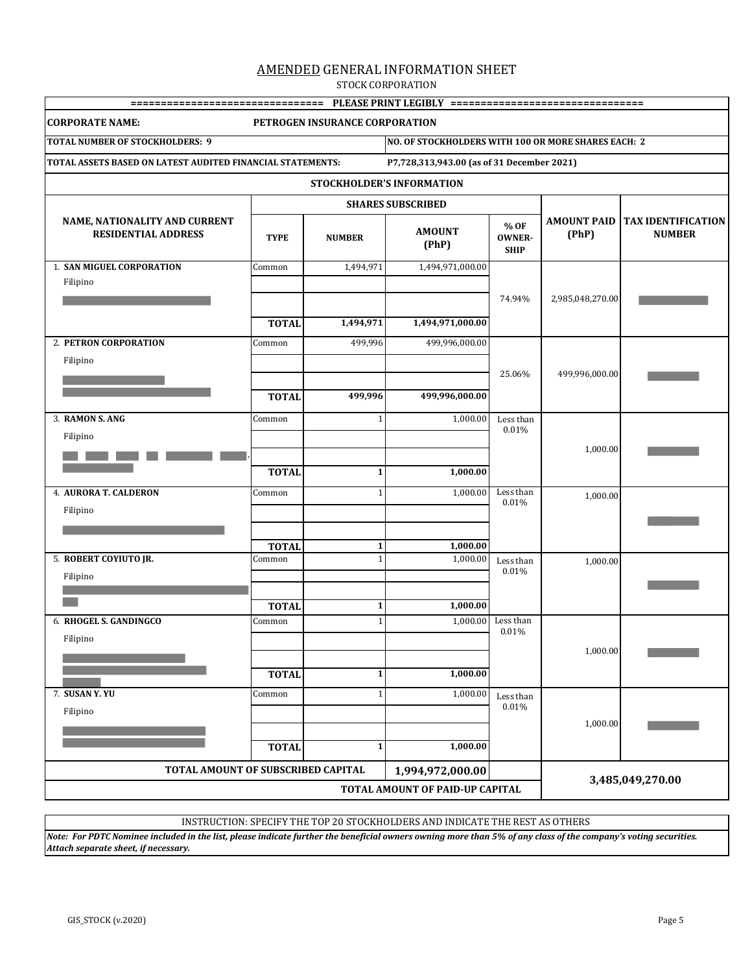STOCK CORPORATION

| <b>CORPORATE NAME:</b>                                      |              | PETROGEN INSURANCE CORPORATION |                                                                |                    |                  |                                                   |
|-------------------------------------------------------------|--------------|--------------------------------|----------------------------------------------------------------|--------------------|------------------|---------------------------------------------------|
| <b>TOTAL NUMBER OF STOCKHOLDERS: 9</b>                      |              |                                | NO. OF STOCKHOLDERS WITH 100 OR MORE SHARES EACH: 2            |                    |                  |                                                   |
| TOTAL ASSETS BASED ON LATEST AUDITED FINANCIAL STATEMENTS:  |              |                                | P7,728,313,943.00 (as of 31 December 2021)                     |                    |                  |                                                   |
|                                                             |              |                                | STOCKHOLDER'S INFORMATION                                      |                    |                  |                                                   |
|                                                             |              |                                | <b>SHARES SUBSCRIBED</b>                                       |                    |                  |                                                   |
| NAME, NATIONALITY AND CURRENT<br><b>RESIDENTIAL ADDRESS</b> | <b>TYPE</b>  | <b>NUMBER</b>                  | % OF<br><b>AMOUNT</b><br><b>OWNER-</b><br>(PhP)<br><b>SHIP</b> |                    | (PhP)            | AMOUNT PAID   TAX IDENTIFICATION<br><b>NUMBER</b> |
| <b>1. SAN MIGUEL CORPORATION</b>                            | Common       | 1,494,971                      | 1,494,971,000.00                                               |                    |                  |                                                   |
| Filipino                                                    |              |                                |                                                                |                    |                  |                                                   |
|                                                             |              |                                |                                                                | 74.94%             | 2,985,048,270.00 |                                                   |
|                                                             | <b>TOTAL</b> | 1,494,971                      | 1,494,971,000.00                                               |                    |                  |                                                   |
| 2. PETRON CORPORATION                                       | Common       | 499,996                        | 499,996,000.00                                                 |                    |                  |                                                   |
| Filipino                                                    |              |                                |                                                                |                    |                  |                                                   |
|                                                             |              |                                |                                                                | 25.06%             | 499,996,000.00   |                                                   |
|                                                             | <b>TOTAL</b> | 499,996                        | 499,996,000.00                                                 |                    |                  |                                                   |
| 3. RAMON S. ANG                                             | Common       | $\mathbf{1}$                   | 1,000.00                                                       | Less than          |                  |                                                   |
| Filipino                                                    |              |                                |                                                                | 0.01%              |                  |                                                   |
|                                                             |              |                                |                                                                |                    | 1,000.00         |                                                   |
|                                                             | <b>TOTAL</b> | $\mathbf{1}$                   | 1,000.00                                                       |                    |                  |                                                   |
| <b>4. AURORA T. CALDERON</b>                                | Common       | $\mathbf{1}$                   | 1,000.00                                                       | Less than          | 1,000.00         |                                                   |
| Filipino                                                    |              |                                |                                                                | 0.01%              |                  |                                                   |
|                                                             |              |                                |                                                                |                    |                  |                                                   |
|                                                             | <b>TOTAL</b> | 1                              | 1,000.00                                                       |                    |                  |                                                   |
| 5. ROBERT COYIUTO JR.                                       | Common       | $\mathbf{1}$                   | 1,000.00                                                       | Less than<br>0.01% | 1,000.00         |                                                   |
| Filipino                                                    |              |                                |                                                                |                    |                  |                                                   |
|                                                             | <b>TOTAL</b> | $\mathbf{1}$                   | 1,000.00                                                       |                    |                  |                                                   |
| 6. RHOGEL S. GANDINGCO                                      | Common       | $\mathbf{1}$                   | 1,000.00                                                       | Less than          |                  |                                                   |
| Filipino                                                    |              |                                |                                                                | 0.01%              |                  |                                                   |
|                                                             |              |                                |                                                                |                    | 1,000.00         |                                                   |
|                                                             | <b>TOTAL</b> | $\mathbf{1}$                   | 1,000.00                                                       |                    |                  |                                                   |
| 7. SUSAN Y.YU                                               | Common       | $\mathbf{1}$                   | 1,000.00                                                       | Less than          |                  |                                                   |
| Filipino                                                    |              |                                |                                                                | 0.01%              |                  |                                                   |
|                                                             |              |                                |                                                                |                    | 1,000.00         |                                                   |
|                                                             | <b>TOTAL</b> | $\mathbf{1}$                   | 1,000.00                                                       |                    |                  |                                                   |
| TOTAL AMOUNT OF SUBSCRIBED CAPITAL                          |              |                                | 1,994,972,000.00                                               |                    |                  |                                                   |
|                                                             |              | 3,485,049,270.00               |                                                                |                    |                  |                                                   |

INSTRUCTION: SPECIFY THE TOP 20 STOCKHOLDERS AND INDICATE THE REST AS OTHERS

*Note: For PDTC Nominee included in the list, please indicate further the beneficial owners owning more than 5% of any class of the company's voting securities. Attach separate sheet, if necessary.*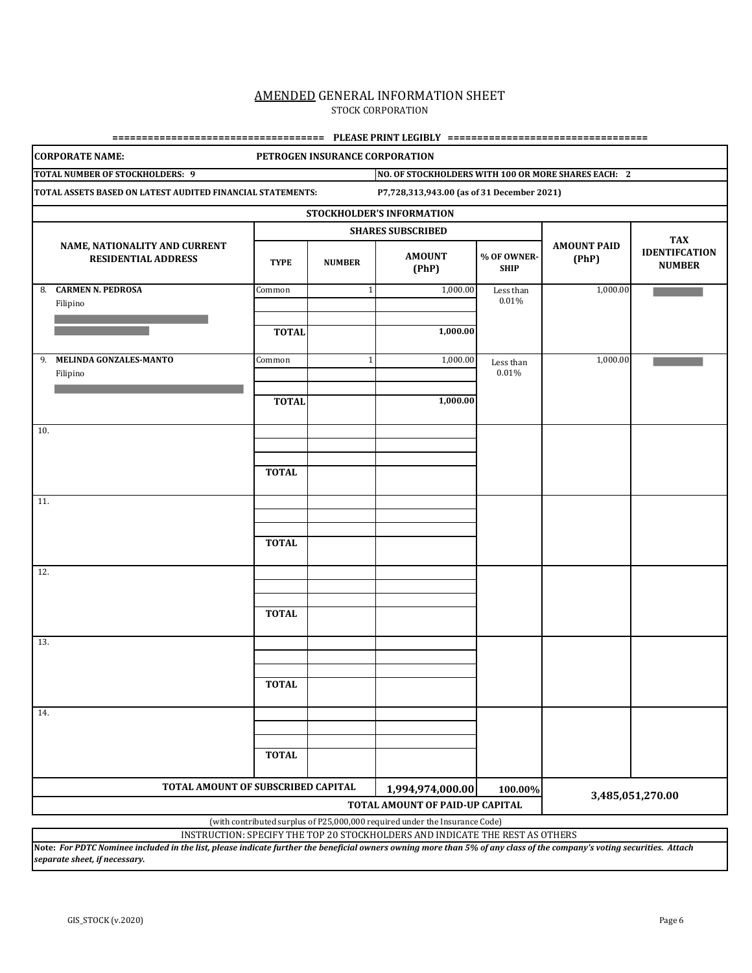### AMENDED GENERAL INFORMATION SHEET STOCK CORPORATION

**==================================== PLEASE PRINT LEGIBLY ==================================**

|     | <b>CORPORATE NAME:</b>                                      |              | PETROGEN INSURANCE CORPORATION |                                                                              |                            |                             |                                       |
|-----|-------------------------------------------------------------|--------------|--------------------------------|------------------------------------------------------------------------------|----------------------------|-----------------------------|---------------------------------------|
|     | TOTAL NUMBER OF STOCKHOLDERS: 9                             |              |                                | NO. OF STOCKHOLDERS WITH 100 OR MORE SHARES EACH: 2                          |                            |                             |                                       |
|     | TOTAL ASSETS BASED ON LATEST AUDITED FINANCIAL STATEMENTS:  |              |                                | P7,728,313,943.00 (as of 31 December 2021)                                   |                            |                             |                                       |
|     |                                                             |              |                                | STOCKHOLDER'S INFORMATION                                                    |                            |                             |                                       |
|     |                                                             |              |                                | <b>SHARES SUBSCRIBED</b>                                                     |                            |                             | <b>TAX</b>                            |
|     | NAME, NATIONALITY AND CURRENT<br><b>RESIDENTIAL ADDRESS</b> | <b>TYPE</b>  | <b>NUMBER</b>                  | <b>AMOUNT</b><br>(PhP)                                                       | % OF OWNER-<br><b>SHIP</b> | <b>AMOUNT PAID</b><br>(PhP) | <b>IDENTIFCATION</b><br><b>NUMBER</b> |
|     | 8. CARMEN N. PEDROSA<br>Filipino                            | Common       | $\mathbf{1}$                   | 1,000.00                                                                     | Less than<br>0.01%         | 1,000.00                    |                                       |
|     |                                                             | <b>TOTAL</b> |                                | 1,000.00                                                                     |                            |                             |                                       |
| 9.  | MELINDA GONZALES-MANTO<br>Filipino                          | Common       | $\mathbf{1}$                   | 1,000.00                                                                     | Less than<br>0.01%         | 1,000.00                    |                                       |
|     |                                                             | <b>TOTAL</b> |                                | 1,000.00                                                                     |                            |                             |                                       |
| 10. |                                                             |              |                                |                                                                              |                            |                             |                                       |
|     |                                                             | <b>TOTAL</b> |                                |                                                                              |                            |                             |                                       |
| 11. |                                                             |              |                                |                                                                              |                            |                             |                                       |
|     |                                                             | <b>TOTAL</b> |                                |                                                                              |                            |                             |                                       |
| 12. |                                                             |              |                                |                                                                              |                            |                             |                                       |
|     |                                                             | <b>TOTAL</b> |                                |                                                                              |                            |                             |                                       |
| 13. |                                                             |              |                                |                                                                              |                            |                             |                                       |
|     |                                                             | <b>TOTAL</b> |                                |                                                                              |                            |                             |                                       |
| 14. |                                                             |              |                                |                                                                              |                            |                             |                                       |
|     |                                                             | <b>TOTAL</b> |                                |                                                                              |                            |                             |                                       |
|     | TOTAL AMOUNT OF SUBSCRIBED CAPITAL                          |              |                                | 1,994,974,000.00                                                             | 100.00%                    |                             |                                       |
|     |                                                             |              |                                | TOTAL AMOUNT OF PAID-UP CAPITAL                                              |                            |                             | 3,485,051,270.00                      |
|     |                                                             |              |                                | (with contributed surplus of P25,000,000 required under the Insurance Code)  |                            |                             |                                       |
|     |                                                             |              |                                | INSTRUCTION: SPECIFY THE TOP 20 STOCKHOLDERS AND INDICATE THE REST AS OTHERS |                            |                             |                                       |

**Note:** *For PDTC Nominee included in the list, please indicate further the beneficial owners owning more than 5% of any class of the company's voting securities. Attach separate sheet, if necessary.*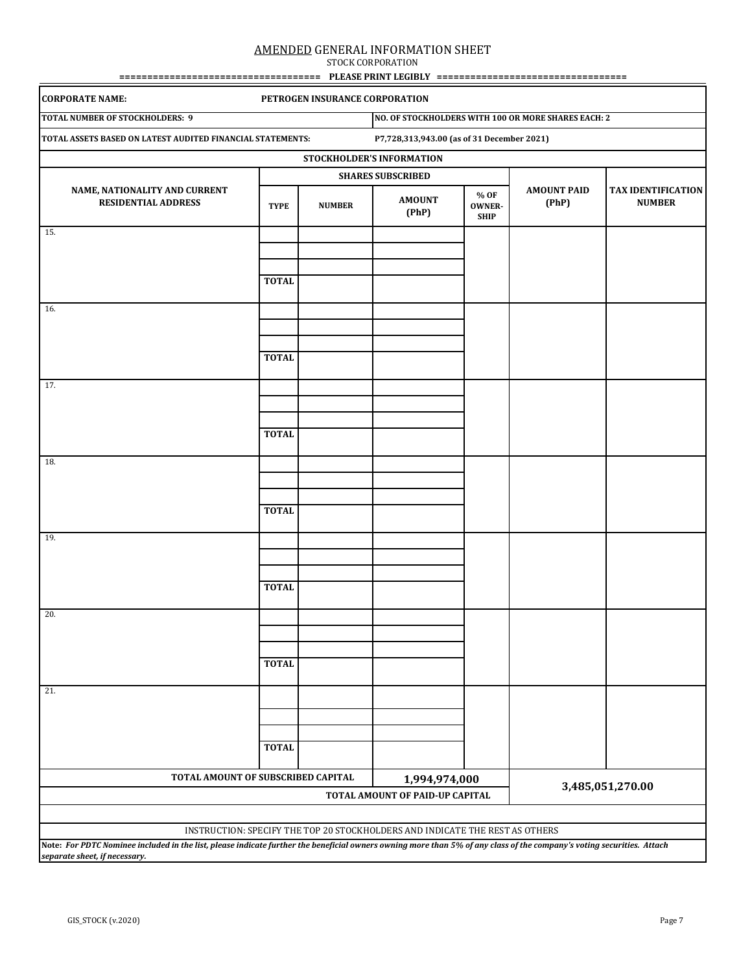STOCK CORPORATION **==================================== PLEASE PRINT LEGIBLY ==================================**

| <b>CORPORATE NAME:</b>                                                                                                                                                 |              | PETROGEN INSURANCE CORPORATION |                                                                              |                                      |                                                     |                                            |  |
|------------------------------------------------------------------------------------------------------------------------------------------------------------------------|--------------|--------------------------------|------------------------------------------------------------------------------|--------------------------------------|-----------------------------------------------------|--------------------------------------------|--|
| <b>TOTAL NUMBER OF STOCKHOLDERS: 9</b>                                                                                                                                 |              |                                |                                                                              |                                      | NO. OF STOCKHOLDERS WITH 100 OR MORE SHARES EACH: 2 |                                            |  |
| TOTAL ASSETS BASED ON LATEST AUDITED FINANCIAL STATEMENTS:                                                                                                             |              |                                | P7,728,313,943.00 (as of 31 December 2021)                                   |                                      |                                                     |                                            |  |
|                                                                                                                                                                        |              |                                | STOCKHOLDER'S INFORMATION                                                    |                                      |                                                     |                                            |  |
|                                                                                                                                                                        |              |                                | <b>SHARES SUBSCRIBED</b>                                                     |                                      |                                                     |                                            |  |
| NAME, NATIONALITY AND CURRENT<br><b>RESIDENTIAL ADDRESS</b>                                                                                                            | <b>TYPE</b>  | <b>NUMBER</b>                  | <b>AMOUNT</b><br>(PhP)                                                       | % OF<br><b>OWNER-</b><br><b>SHIP</b> | <b>AMOUNT PAID</b><br>(PhP)                         | <b>TAX IDENTIFICATION</b><br><b>NUMBER</b> |  |
| 15.                                                                                                                                                                    |              |                                |                                                                              |                                      |                                                     |                                            |  |
|                                                                                                                                                                        | <b>TOTAL</b> |                                |                                                                              |                                      |                                                     |                                            |  |
| 16.                                                                                                                                                                    |              |                                |                                                                              |                                      |                                                     |                                            |  |
|                                                                                                                                                                        | <b>TOTAL</b> |                                |                                                                              |                                      |                                                     |                                            |  |
| 17.                                                                                                                                                                    |              |                                |                                                                              |                                      |                                                     |                                            |  |
|                                                                                                                                                                        | <b>TOTAL</b> |                                |                                                                              |                                      |                                                     |                                            |  |
| 18.                                                                                                                                                                    |              |                                |                                                                              |                                      |                                                     |                                            |  |
|                                                                                                                                                                        | <b>TOTAL</b> |                                |                                                                              |                                      |                                                     |                                            |  |
| 19.                                                                                                                                                                    |              |                                |                                                                              |                                      |                                                     |                                            |  |
|                                                                                                                                                                        | <b>TOTAL</b> |                                |                                                                              |                                      |                                                     |                                            |  |
| 20.                                                                                                                                                                    |              |                                |                                                                              |                                      |                                                     |                                            |  |
|                                                                                                                                                                        | <b>TOTAL</b> |                                |                                                                              |                                      |                                                     |                                            |  |
| 21.                                                                                                                                                                    |              |                                |                                                                              |                                      |                                                     |                                            |  |
|                                                                                                                                                                        | <b>TOTAL</b> |                                |                                                                              |                                      |                                                     |                                            |  |
| TOTAL AMOUNT OF SUBSCRIBED CAPITAL                                                                                                                                     |              |                                | 1,994,974,000<br>TOTAL AMOUNT OF PAID-UP CAPITAL                             |                                      |                                                     | 3,485,051,270.00                           |  |
| Note: For PDTC Nominee included in the list, please indicate further the beneficial owners owning more than 5% of any class of the company's voting securities. Attach |              |                                | INSTRUCTION: SPECIFY THE TOP 20 STOCKHOLDERS AND INDICATE THE REST AS OTHERS |                                      |                                                     |                                            |  |

*separate sheet, if necessary.*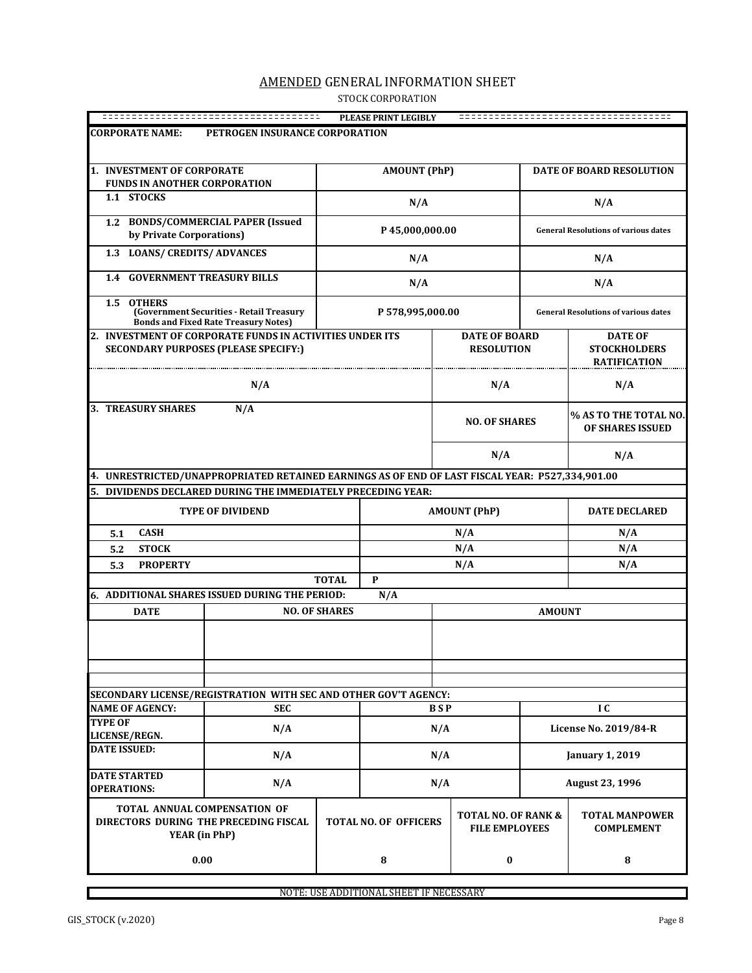## AMENDED GENERAL INFORMATION SHEET STOCK CORPORATION

|                                                                                                 |                                                                                         |                      | PLEASE PRINT LEGIBLY         |            |                                                         |               |                                             |
|-------------------------------------------------------------------------------------------------|-----------------------------------------------------------------------------------------|----------------------|------------------------------|------------|---------------------------------------------------------|---------------|---------------------------------------------|
| <b>CORPORATE NAME:</b>                                                                          | PETROGEN INSURANCE CORPORATION                                                          |                      |                              |            |                                                         |               |                                             |
|                                                                                                 |                                                                                         |                      |                              |            |                                                         |               |                                             |
| 1. INVESTMENT OF CORPORATE                                                                      |                                                                                         |                      |                              |            |                                                         |               |                                             |
| <b>FUNDS IN ANOTHER CORPORATION</b>                                                             |                                                                                         |                      | <b>AMOUNT (PhP)</b>          |            |                                                         |               | <b>DATE OF BOARD RESOLUTION</b>             |
| 1.1 STOCKS                                                                                      |                                                                                         |                      |                              |            |                                                         |               |                                             |
|                                                                                                 |                                                                                         |                      | N/A                          |            |                                                         |               | N/A                                         |
| 1.2 BONDS/COMMERCIAL PAPER (Issued                                                              |                                                                                         |                      |                              |            |                                                         |               |                                             |
| by Private Corporations)                                                                        |                                                                                         |                      | P45,000,000.00               |            |                                                         |               | <b>General Resolutions of various dates</b> |
| 1.3 LOANS/ CREDITS/ ADVANCES                                                                    |                                                                                         |                      | N/A                          |            |                                                         |               | N/A                                         |
| <b>GOVERNMENT TREASURY BILLS</b><br>1.4                                                         |                                                                                         |                      | N/A                          |            |                                                         |               | N/A                                         |
| 1.5 OTHERS                                                                                      | (Government Securities - Retail Treasury<br><b>Bonds and Fixed Rate Treasury Notes)</b> |                      | P 578,995,000.00             |            |                                                         |               | <b>General Resolutions of various dates</b> |
| 2. INVESTMENT OF CORPORATE FUNDS IN ACTIVITIES UNDER ITS                                        |                                                                                         |                      |                              |            | <b>DATE OF BOARD</b>                                    |               | <b>DATE OF</b>                              |
| <b>SECONDARY PURPOSES (PLEASE SPECIFY:)</b>                                                     |                                                                                         |                      |                              |            | <b>RESOLUTION</b>                                       |               | <b>STOCKHOLDERS</b><br><b>RATIFICATION</b>  |
|                                                                                                 | N/A                                                                                     |                      |                              |            | N/A                                                     |               | N/A                                         |
| <b>3. TREASURY SHARES</b>                                                                       |                                                                                         | <b>NO. OF SHARES</b> |                              |            | % AS TO THE TOTAL NO.<br>OF SHARES ISSUED               |               |                                             |
|                                                                                                 |                                                                                         |                      |                              | N/A        |                                                         |               | N/A                                         |
| 4. UNRESTRICTED/UNAPPROPRIATED RETAINED EARNINGS AS OF END OF LAST FISCAL YEAR: P527,334,901.00 |                                                                                         |                      |                              |            |                                                         |               |                                             |
| 5. DIVIDENDS DECLARED DURING THE IMMEDIATELY PRECEDING YEAR:                                    |                                                                                         |                      |                              |            |                                                         |               |                                             |
|                                                                                                 | <b>TYPE OF DIVIDEND</b>                                                                 |                      |                              |            | <b>AMOUNT (PhP)</b>                                     |               | <b>DATE DECLARED</b>                        |
| <b>CASH</b><br>5.1                                                                              |                                                                                         |                      |                              |            | N/A                                                     |               | N/A                                         |
| <b>STOCK</b><br>5.2                                                                             |                                                                                         |                      |                              | N/A        |                                                         |               | N/A                                         |
| <b>PROPERTY</b><br>5.3                                                                          |                                                                                         |                      |                              |            | N/A                                                     |               | N/A                                         |
|                                                                                                 |                                                                                         | <b>TOTAL</b>         | P                            |            |                                                         |               |                                             |
| 6. ADDITIONAL SHARES ISSUED DURING THE PERIOD:                                                  |                                                                                         |                      | N/A                          |            |                                                         |               |                                             |
| <b>DATE</b>                                                                                     |                                                                                         | <b>NO. OF SHARES</b> |                              |            |                                                         | <b>AMOUNT</b> |                                             |
|                                                                                                 |                                                                                         |                      |                              |            |                                                         |               |                                             |
|                                                                                                 |                                                                                         |                      |                              |            |                                                         |               |                                             |
|                                                                                                 |                                                                                         |                      |                              |            |                                                         |               |                                             |
| SECONDARY LICENSE/REGISTRATION WITH SEC AND OTHER GOV'T AGENCY:                                 |                                                                                         |                      |                              |            |                                                         |               |                                             |
| <b>NAME OF AGENCY:</b>                                                                          | <b>SEC</b>                                                                              |                      |                              | <b>BSP</b> |                                                         |               | I C                                         |
| <b>TYPE OF</b><br>LICENSE/REGN.                                                                 | N/A                                                                                     |                      |                              | N/A        |                                                         |               | License No. 2019/84-R                       |
| <b>DATE ISSUED:</b>                                                                             | N/A                                                                                     |                      |                              | N/A        |                                                         |               | <b>January 1, 2019</b>                      |
| <b>DATE STARTED</b><br><b>OPERATIONS:</b>                                                       | N/A                                                                                     |                      |                              | N/A        |                                                         |               | August 23, 1996                             |
| TOTAL ANNUAL COMPENSATION OF<br>DIRECTORS DURING THE PRECEDING FISCAL<br>YEAR (in PhP)          |                                                                                         |                      | <b>TOTAL NO. OF OFFICERS</b> |            | <b>TOTAL NO. OF RANK &amp;</b><br><b>FILE EMPLOYEES</b> |               | <b>TOTAL MANPOWER</b><br><b>COMPLEMENT</b>  |
| 0.00                                                                                            |                                                                                         |                      | ${\bf 8}$                    |            | $\bf{0}$                                                |               | 8                                           |

NOTE: USE ADDITIONAL SHEET IF NECESSARY

 $\Box$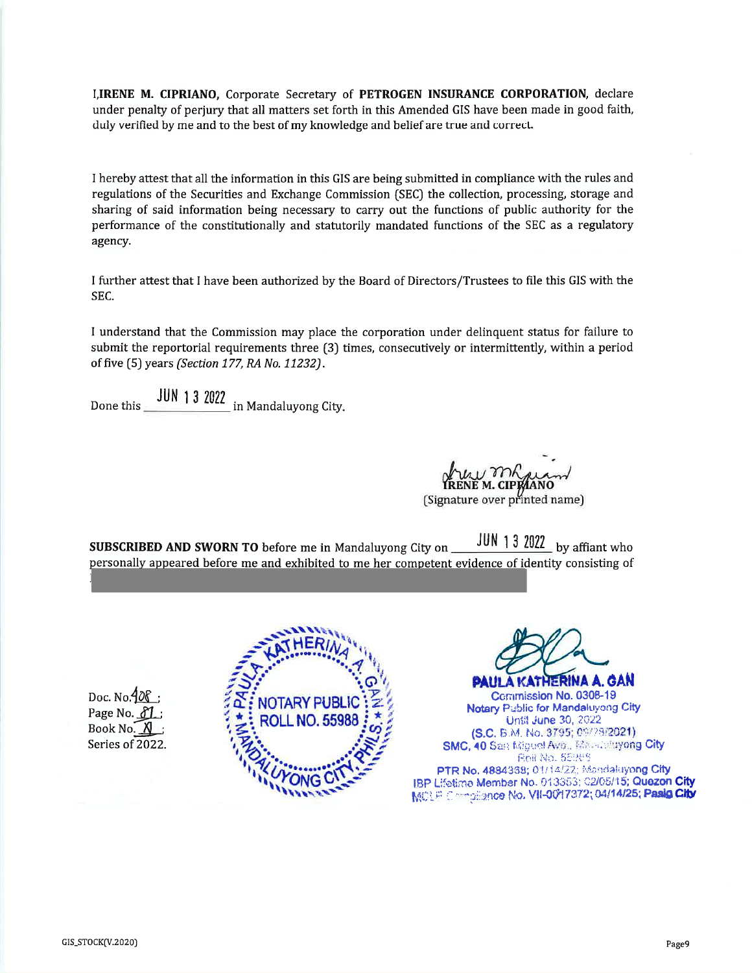I, IRENE M. CIPRIANO, Corporate Secretary of PETROGEN INSURANCE CORPORATION, declare under penalty of perjury that all matters set forth in this Amended GIS have been made in good faith, duly verified by me and to the best of my knowledge and belief are true and correct.

I hereby attest that all the information in this GIS are being submitted in compliance with the rules and regulations of the Securities and Exchange Commission (SEC) the collection, processing, storage and sharing of said information being necessary to carry out the functions of public authority for the performance of the constitutionally and statutorily mandated functions of the SEC as a regulatory agency.

I further attest that I have been authorized by the Board of Directors/Trustees to file this GIS with the SEC.

I understand that the Commission may place the corporation under delinguent status for failure to submit the reportorial requirements three (3) times, consecutively or intermittently, within a period of five (5) years (Section 177, RA No. 11232).

(Signature over printed name)

JUN 1 3 2022 by affiant who SUBSCRIBED AND SWORN TO before me in Mandaluyong City on personally appeared before me and exhibited to me her competent evidence of identity consisting of

Doc. No. 10 Page No. 81 Book No. Series of 2022



**PLIE DINA 1** Commission No. 0308-19 **Notary Pablic for Mandaluyong City** Until June 30, 2022 (S.C. 5.M. No. 3795; 09/23/2021) SMC, 40 San Miguel Ave., Massachuyong City Reil No. 55969 PTR No. 4884368; 01/14/22; Mandaluyong City IBP Lifetime Member No. 013353; 02/05/15; Quezon City MOLF Compilence No. VII-0017372; 04/14/25; Pasig City